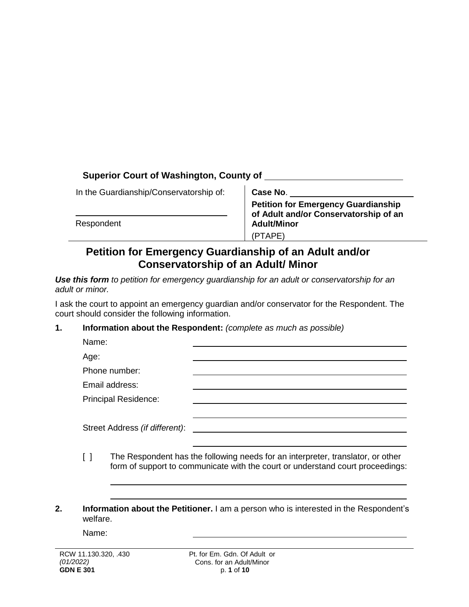# **Superior Court of Washington, County of**

In the Guardianship/Conservatorship of:

Respondent

**Case No**.

**Petition for Emergency Guardianship of Adult and/or Conservatorship of an Adult/Minor** (PTAPE)

# **Petition for Emergency Guardianship of an Adult and/or Conservatorship of an Adult/ Minor**

*Use this form to petition for emergency guardianship for an adult or conservatorship for an adult or minor.*

I ask the court to appoint an emergency guardian and/or conservator for the Respondent. The court should consider the following information.

#### **1. Information about the Respondent:** *(complete as much as possible)*

| Name:                          |  |
|--------------------------------|--|
| Age:                           |  |
| Phone number:                  |  |
| Email address:                 |  |
| <b>Principal Residence:</b>    |  |
|                                |  |
| Street Address (if different): |  |
|                                |  |

- [ ] The Respondent has the following needs for an interpreter, translator, or other form of support to communicate with the court or understand court proceedings:
- **2. Information about the Petitioner.** I am a person who is interested in the Respondent's welfare.

Name: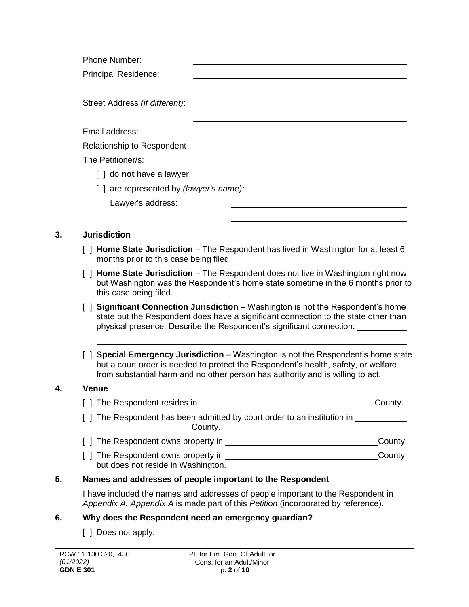| Phone Number:                                         |  |  |
|-------------------------------------------------------|--|--|
| <b>Principal Residence:</b>                           |  |  |
|                                                       |  |  |
| Street Address (if different):                        |  |  |
|                                                       |  |  |
| Email address:                                        |  |  |
| Relationship to Respondent <b>Example 20</b> No. 2014 |  |  |
| The Petitioner/s:                                     |  |  |
| $\lceil$ $\rceil$ do <b>not</b> have a lawyer.        |  |  |
| [] are represented by (lawyer's name):                |  |  |
| Lawyer's address:                                     |  |  |
|                                                       |  |  |
|                                                       |  |  |

# **3. Jurisdiction**

- [ ] **Home State Jurisdiction**  The Respondent has lived in Washington for at least 6 months prior to this case being filed.
- [ ] **Home State Jurisdiction**  The Respondent does not live in Washington right now but Washington was the Respondent's home state sometime in the 6 months prior to this case being filed.
- [ ] **Significant Connection Jurisdiction** Washington is not the Respondent's home state but the Respondent does have a significant connection to the state other than physical presence. Describe the Respondent's significant connection:
- [ ] **Special Emergency Jurisdiction**  Washington is not the Respondent's home state but a court order is needed to protect the Respondent's health, safety, or welfare from substantial harm and no other person has authority and is willing to act.

#### **4. Venue**

- [ ] The Respondent resides in County.
- [ ] The Respondent has been admitted by court order to an institution in \_\_\_\_\_\_\_\_ **County.** County.
- [ ] The Respondent owns property in County.
- [ ] The Respondent owns property in County County but does not reside in Washington.

#### **5. Names and addresses of people important to the Respondent**

I have included the names and addresses of people important to the Respondent in *Appendix A. Appendix A* is made part of this *Petition* (incorporated by reference).

#### **6. Why does the Respondent need an emergency guardian?**

[ ] Does not apply.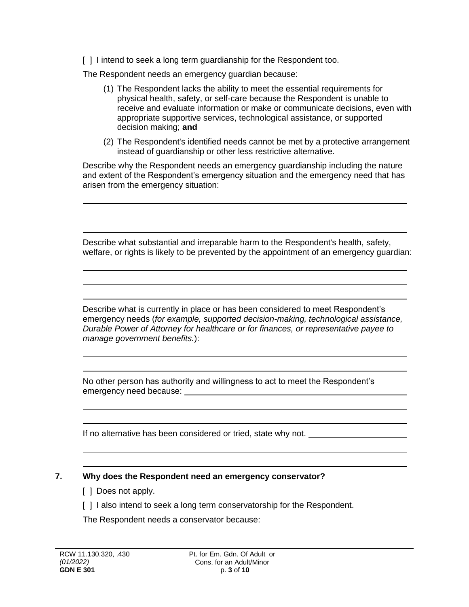[ ] I intend to seek a long term guardianship for the Respondent too.

The Respondent needs an emergency guardian because:

- (1) The Respondent lacks the ability to meet the essential requirements for physical health, safety, or self-care because the Respondent is unable to receive and evaluate information or make or communicate decisions, even with appropriate supportive services, technological assistance, or supported decision making; **and**
- (2) The Respondent's identified needs cannot be met by a protective arrangement instead of guardianship or other less restrictive alternative.

Describe why the Respondent needs an emergency guardianship including the nature and extent of the Respondent's emergency situation and the emergency need that has arisen from the emergency situation:

Describe what substantial and irreparable harm to the Respondent's health, safety, welfare, or rights is likely to be prevented by the appointment of an emergency guardian:

Describe what is currently in place or has been considered to meet Respondent's emergency needs (*for example, supported decision-making, technological assistance, Durable Power of Attorney for healthcare or for finances, or representative payee to manage government benefits.*):

No other person has authority and willingness to act to meet the Respondent's emergency need because: <u>example and contract and contract and contract and contract and contract and contract and contract and contract and contract and contract and contract and contract and contract and contract and con</u>

If no alternative has been considered or tried, state why not.

# **7. Why does the Respondent need an emergency conservator?**

- [ ] Does not apply.
- [ ] I also intend to seek a long term conservatorship for the Respondent.

The Respondent needs a conservator because: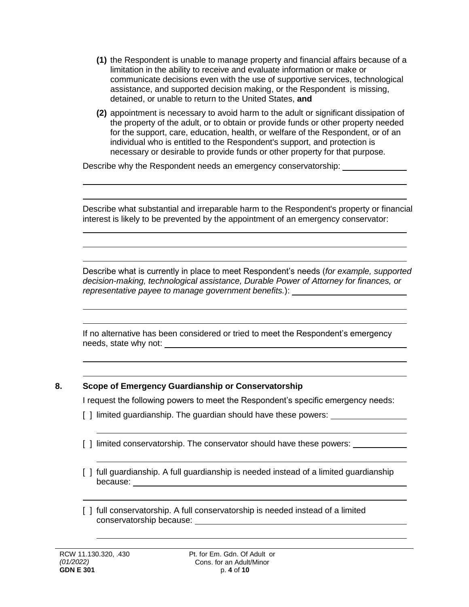- **(1)** the Respondent is unable to manage property and financial affairs because of a limitation in the ability to receive and evaluate information or make or communicate decisions even with the use of supportive services, technological assistance, and supported decision making, or the Respondent is missing, detained, or unable to return to the United States, **and**
- **(2)** appointment is necessary to avoid harm to the adult or significant dissipation of the property of the adult, or to obtain or provide funds or other property needed for the support, care, education, health, or welfare of the Respondent, or of an individual who is entitled to the Respondent's support, and protection is necessary or desirable to provide funds or other property for that purpose.

Describe why the Respondent needs an emergency conservatorship:

Describe what substantial and irreparable harm to the Respondent's property or financial interest is likely to be prevented by the appointment of an emergency conservator:

Describe what is currently in place to meet Respondent's needs (*for example, supported decision-making, technological assistance, Durable Power of Attorney for finances, or representative payee to manage government benefits.*):

If no alternative has been considered or tried to meet the Respondent's emergency needs, state why not:

# **8. Scope of Emergency Guardianship or Conservatorship**

I request the following powers to meet the Respondent's specific emergency needs:

- [] limited guardianship. The guardian should have these powers: \_\_\_\_\_\_\_\_\_\_\_\_\_\_\_\_
- [ ] limited conservatorship. The conservator should have these powers:
- [ ] full guardianship. A full guardianship is needed instead of a limited guardianship because:

[ ] full conservatorship. A full conservatorship is needed instead of a limited conservatorship because: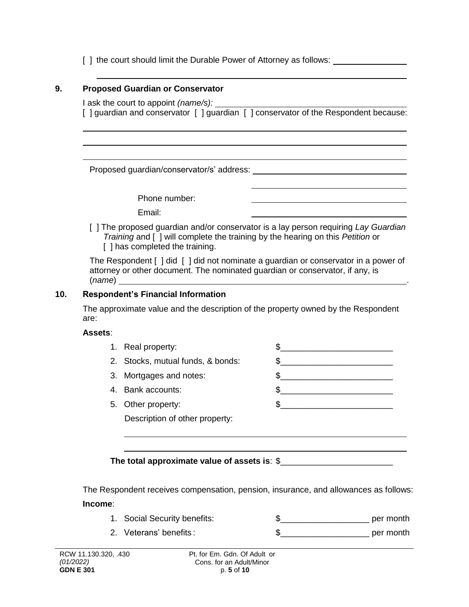[ ] the court should limit the Durable Power of Attorney as follows:

## **9. Proposed Guardian or Conservator**

I ask the court to appoint *(name/s):* [] quardian and conservator [] quardian [] conservator of the Respondent because:

Proposed guardian/conservator/s' address:

Phone number:

Email:

[ ] The proposed guardian and/or conservator is a lay person requiring *Lay Guardian Training* and [ ] will complete the training by the hearing on this *Petition* or [] has completed the training.

The Respondent [ ] did [ ] did not nominate a guardian or conservator in a power of attorney or other document. The nominated guardian or conservator, if any, is (*name*) .

## **10. Respondent's Financial Information**

The approximate value and the description of the property owned by the Respondent are:

#### **Assets**:

| 1. Real property:                 |  |
|-----------------------------------|--|
| 2. Stocks, mutual funds, & bonds: |  |
| 3. Mortgages and notes:           |  |

- 4. Bank accounts:  $\qquad \qquad \$$
- 5. Other property:  $\qquad \qquad \textcircled{1}$ Description of other property:

# **The total approximate value of assets is**: \$\_\_\_\_\_\_\_\_\_\_\_\_\_\_\_\_\_\_\_\_\_\_\_\_

The Respondent receives compensation, pension, insurance, and allowances as follows: **Income**:

- 1. Social Security benefits: \$\_\_\_\_\_\_\_\_\_\_\_\_\_\_\_\_\_\_\_ per month
- 2. Veterans' benefits :  $\qquad \qquad \$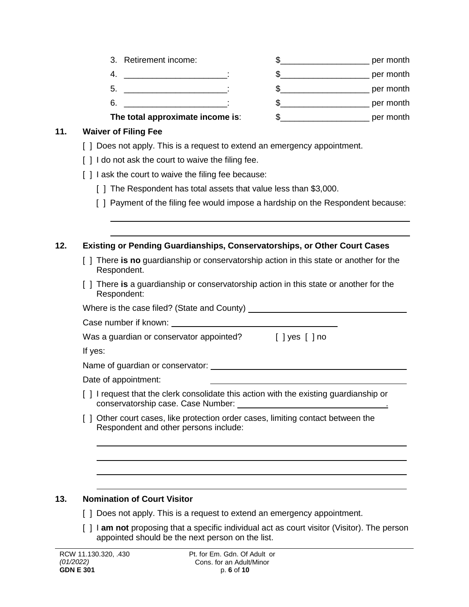- 3. Retirement income:  $\qquad \qquad \$ 4. \_\_\_\_\_\_\_\_\_\_\_\_\_\_\_\_\_\_\_\_\_\_: \$\_\_\_\_\_\_\_\_\_\_\_\_\_\_\_\_\_\_\_ per month 5. \_\_\_\_\_\_\_\_\_\_\_\_\_\_\_\_\_\_\_\_\_\_: \$\_\_\_\_\_\_\_\_\_\_\_\_\_\_\_\_\_\_\_ per month 6. \_\_\_\_\_\_\_\_\_\_\_\_\_\_\_\_\_\_\_\_\_\_: \$\_\_\_\_\_\_\_\_\_\_\_\_\_\_\_\_\_\_\_ per month
- **The total approximate income is**: \$\_\_\_\_\_\_\_\_\_\_\_\_\_\_\_\_\_\_\_ per month

## **11. Waiver of Filing Fee**

- [ ] Does not apply. This is a request to extend an emergency appointment.
- [] I do not ask the court to waive the filing fee.
- [] I ask the court to waive the filing fee because:
	- [ ] The Respondent has total assets that value less than \$3,000.
	- [ ] Payment of the filing fee would impose a hardship on the Respondent because:

## **12. Existing or Pending Guardianships, Conservatorships, or Other Court Cases**

- [ ] There **is no** guardianship or conservatorship action in this state or another for the Respondent.
- [ ] There **is** a guardianship or conservatorship action in this state or another for the Respondent:

Where is the case filed? (State and County)

Case number if known:

Was a guardian or conservator appointed? [ ] yes [ ] no

If yes:

Name of guardian or conservator: **Name of guardian or conservator:** We have also have a set of guardian or conservation:

- Date of appointment:
- [ ] I request that the clerk consolidate this action with the existing guardianship or conservatorship case. Case Number: .
- [ ] Other court cases, like protection order cases, limiting contact between the Respondent and other persons include:

#### **13. Nomination of Court Visitor**

- [ ] Does not apply. This is a request to extend an emergency appointment.
- [ ] I **am not** proposing that a specific individual act as court visitor (Visitor). The person appointed should be the next person on the list.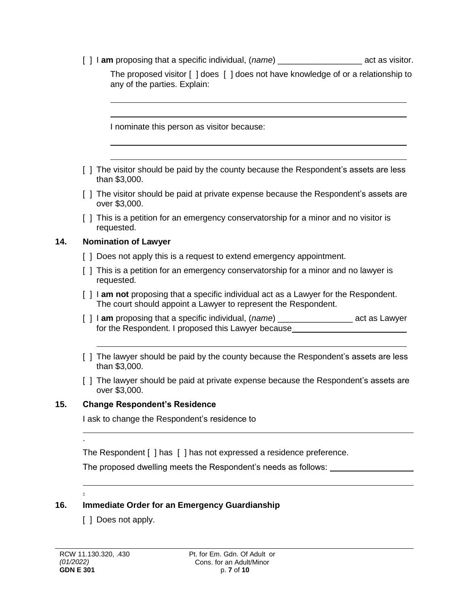[ ] **am** proposing that a specific individual, (*name*) example act as visitor.

The proposed visitor [ ] does [ ] does not have knowledge of or a relationship to any of the parties. Explain:

I nominate this person as visitor because:

- [ ] The visitor should be paid by the county because the Respondent's assets are less than \$3,000.
- [] The visitor should be paid at private expense because the Respondent's assets are over \$3,000.
- [ ] This is a petition for an emergency conservatorship for a minor and no visitor is requested.

#### **14. Nomination of Lawyer**

- [ ] Does not apply this is a request to extend emergency appointment.
- [ ] This is a petition for an emergency conservatorship for a minor and no lawyer is requested.
- [ ] I **am not** proposing that a specific individual act as a Lawyer for the Respondent. The court should appoint a Lawyer to represent the Respondent.
- [ ] I **am** proposing that a specific individual, (*name*) \_\_\_\_\_\_\_\_\_\_\_\_\_\_\_\_ act as Lawyer for the Respondent. I proposed this Lawyer because
- [ ] The lawyer should be paid by the county because the Respondent's assets are less than \$3,000.
- [ ] The lawyer should be paid at private expense because the Respondent's assets are over \$3,000.

#### **15. Change Respondent's Residence**

I ask to change the Respondent's residence to

The Respondent [ ] has [ ] has not expressed a residence preference.

The proposed dwelling meets the Respondent's needs as follows:

# **16. Immediate Order for an Emergency Guardianship**

[ ] Does not apply.

.

.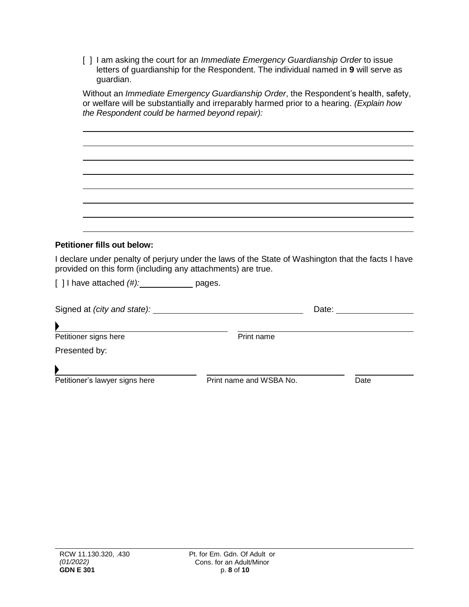| [ ] I am asking the court for an <i>Immediate Emergency Guardianship Order</i> to issue |
|-----------------------------------------------------------------------------------------|
| letters of quardianship for the Respondent. The individual named in 9 will serve as     |
| guardian.                                                                               |

| the Respondent could be harmed beyond repair):              | Without an Immediate Emergency Guardianship Order, the Respondent's health, safety,<br>or welfare will be substantially and irreparably harmed prior to a hearing. (Explain how |      |
|-------------------------------------------------------------|---------------------------------------------------------------------------------------------------------------------------------------------------------------------------------|------|
|                                                             |                                                                                                                                                                                 |      |
|                                                             |                                                                                                                                                                                 |      |
|                                                             |                                                                                                                                                                                 |      |
|                                                             |                                                                                                                                                                                 |      |
|                                                             |                                                                                                                                                                                 |      |
|                                                             |                                                                                                                                                                                 |      |
| <b>Petitioner fills out below:</b>                          |                                                                                                                                                                                 |      |
| provided on this form (including any attachments) are true. | I declare under penalty of perjury under the laws of the State of Washington that the facts I have                                                                              |      |
| $[$ ] I have attached $(\#):$ $\qquad \qquad$ pages.        |                                                                                                                                                                                 |      |
|                                                             |                                                                                                                                                                                 |      |
| <u> 1980 - Andrea Andrew Maria (h. 1980).</u>               |                                                                                                                                                                                 |      |
| Petitioner signs here                                       | Print name                                                                                                                                                                      |      |
| Presented by:                                               |                                                                                                                                                                                 |      |
|                                                             |                                                                                                                                                                                 |      |
| Petitioner's lawyer signs here                              | Print name and WSBA No.                                                                                                                                                         | Date |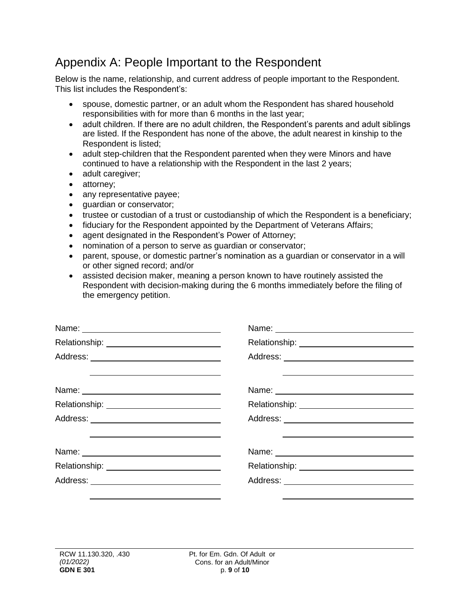# Appendix A: People Important to the Respondent

Below is the name, relationship, and current address of people important to the Respondent. This list includes the Respondent's:

- spouse, domestic partner, or an adult whom the Respondent has shared household responsibilities with for more than 6 months in the last year;
- adult children. If there are no adult children, the Respondent's parents and adult siblings are listed. If the Respondent has none of the above, the adult nearest in kinship to the Respondent is listed;
- adult step-children that the Respondent parented when they were Minors and have continued to have a relationship with the Respondent in the last 2 years;
- adult caregiver;
- attorney;
- any representative payee;
- quardian or conservator;
- trustee or custodian of a trust or custodianship of which the Respondent is a beneficiary;
- fiduciary for the Respondent appointed by the Department of Veterans Affairs;
- agent designated in the Respondent's Power of Attorney;
- nomination of a person to serve as guardian or conservator;
- parent, spouse, or domestic partner's nomination as a guardian or conservator in a will or other signed record; and/or
- assisted decision maker, meaning a person known to have routinely assisted the Respondent with decision-making during the 6 months immediately before the filing of the emergency petition.

| Address: _____ ____________________________                                                     |                                                                                                                        |  |
|-------------------------------------------------------------------------------------------------|------------------------------------------------------------------------------------------------------------------------|--|
| the contract of the contract of the contract of the contract of the contract of the contract of | <u> 1989 - Johann Barn, mars ann an t-Amhainn an t-Amhainn an t-Amhainn an t-Amhainn an t-Amhainn an t-Amhainn an </u> |  |
|                                                                                                 |                                                                                                                        |  |
|                                                                                                 |                                                                                                                        |  |
| <u> 1989 - Andrea Andrew Maria (h. 1989).</u>                                                   | <u> 1986 - Johann Barnett, fransk politiker (d. 1988)</u>                                                              |  |
|                                                                                                 | Relationship: 2000                                                                                                     |  |
| Address: _____ ____________________________                                                     |                                                                                                                        |  |
|                                                                                                 |                                                                                                                        |  |